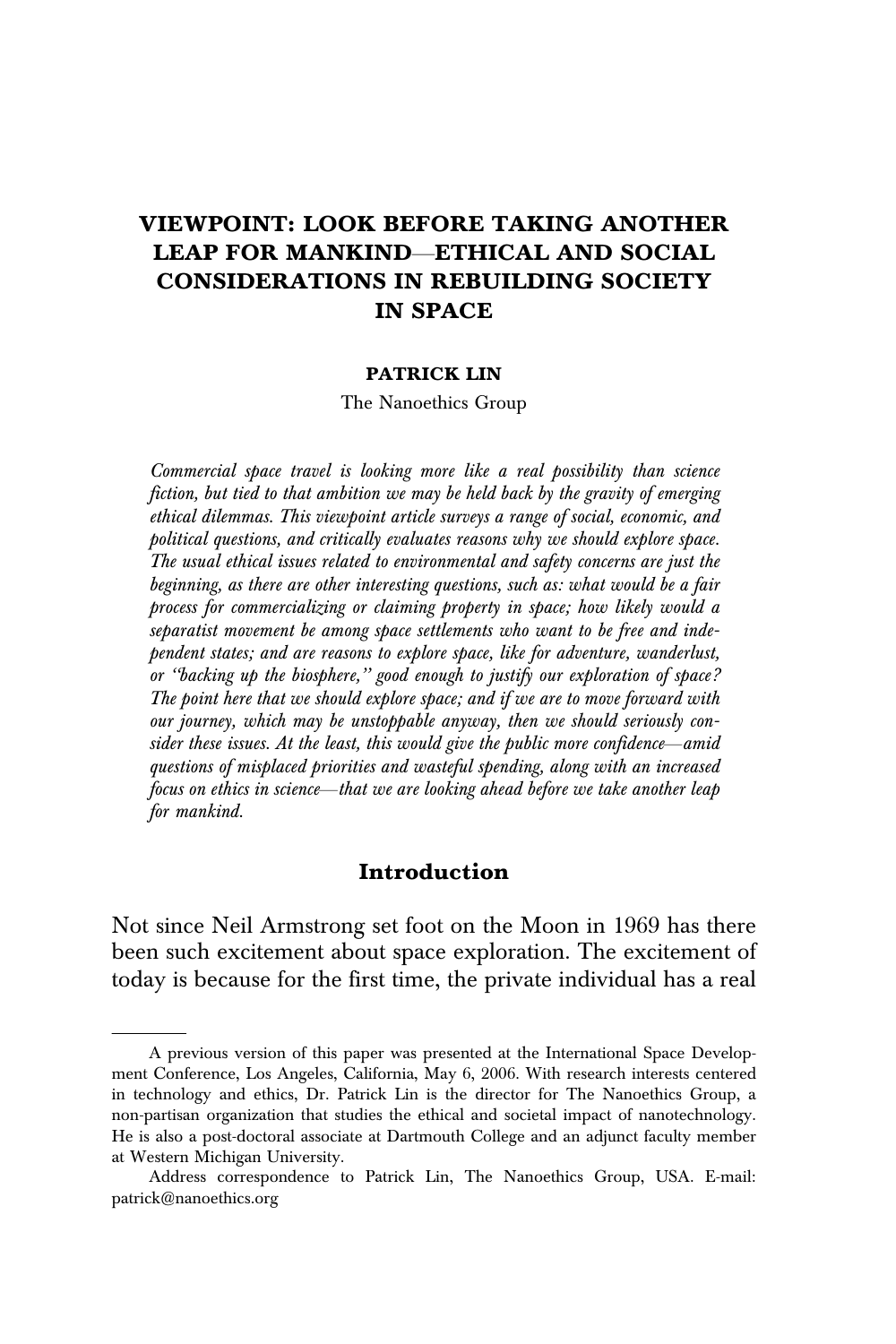# VIEWPOINT: LOOK BEFORE TAKING ANOTHER LEAP FOR MANKIND—ETHICAL AND SOCIAL CONSIDERATIONS IN REBUILDING SOCIETY IN SPACE

#### PATRICK LIN

The Nanoethics Group

Commercial space travel is looking more like a real possibility than science fiction, but tied to that ambition we may be held back by the gravity of emerging ethical dilemmas. This viewpoint article surveys a range of social, economic, and political questions, and critically evaluates reasons why we should explore space. The usual ethical issues related to environmental and safety concerns are just the beginning, as there are other interesting questions, such as: what would be a fair process for commercializing or claiming property in space; how likely would a separatist movement be among space settlements who want to be free and independent states; and are reasons to explore space, like for adventure, wanderlust, or ''backing up the biosphere,'' good enough to justify our exploration of space? The point here that we should explore space; and if we are to move forward with our journey, which may be unstoppable anyway, then we should seriously consider these issues. At the least, this would give the public more confidence—amid questions of misplaced priorities and wasteful spending, along with an increased focus on ethics in science—that we are looking ahead before we take another leap for mankind.

#### Introduction

Not since Neil Armstrong set foot on the Moon in 1969 has there been such excitement about space exploration. The excitement of today is because for the first time, the private individual has a real

A previous version of this paper was presented at the International Space Development Conference, Los Angeles, California, May 6, 2006. With research interests centered in technology and ethics, Dr. Patrick Lin is the director for The Nanoethics Group, a non-partisan organization that studies the ethical and societal impact of nanotechnology. He is also a post-doctoral associate at Dartmouth College and an adjunct faculty member at Western Michigan University.

Address correspondence to Patrick Lin, The Nanoethics Group, USA. E-mail: patrick@nanoethics.org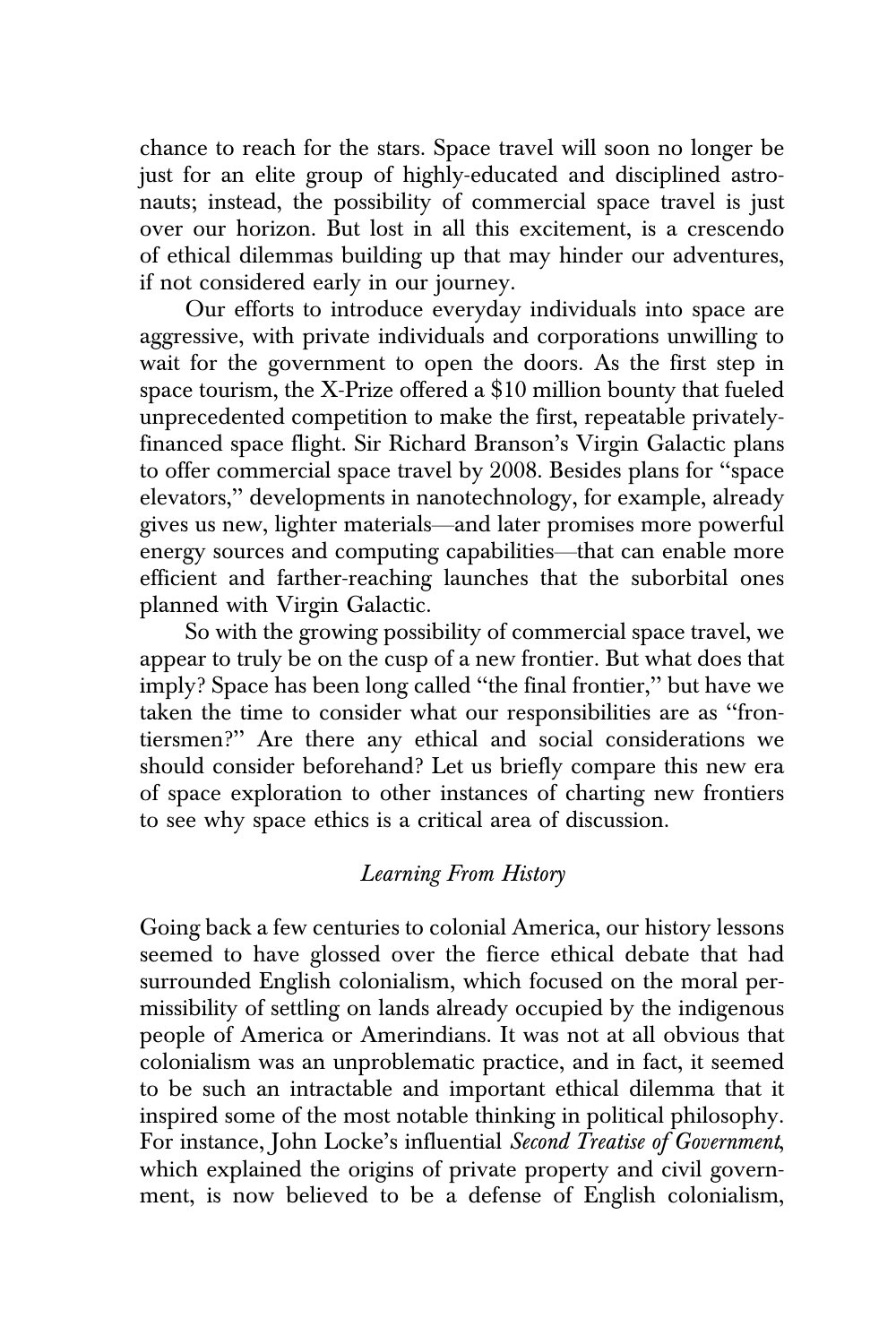chance to reach for the stars. Space travel will soon no longer be just for an elite group of highly-educated and disciplined astronauts; instead, the possibility of commercial space travel is just over our horizon. But lost in all this excitement, is a crescendo of ethical dilemmas building up that may hinder our adventures, if not considered early in our journey.

Our efforts to introduce everyday individuals into space are aggressive, with private individuals and corporations unwilling to wait for the government to open the doors. As the first step in space tourism, the X-Prize offered a \$10 million bounty that fueled unprecedented competition to make the first, repeatable privatelyfinanced space flight. Sir Richard Branson's Virgin Galactic plans to offer commercial space travel by 2008. Besides plans for ''space elevators,'' developments in nanotechnology, for example, already gives us new, lighter materials—and later promises more powerful energy sources and computing capabilities—that can enable more efficient and farther-reaching launches that the suborbital ones planned with Virgin Galactic.

So with the growing possibility of commercial space travel, we appear to truly be on the cusp of a new frontier. But what does that imply? Space has been long called ''the final frontier,'' but have we taken the time to consider what our responsibilities are as ''frontiersmen?'' Are there any ethical and social considerations we should consider beforehand? Let us briefly compare this new era of space exploration to other instances of charting new frontiers to see why space ethics is a critical area of discussion.

### Learning From History

Going back a few centuries to colonial America, our history lessons seemed to have glossed over the fierce ethical debate that had surrounded English colonialism, which focused on the moral permissibility of settling on lands already occupied by the indigenous people of America or Amerindians. It was not at all obvious that colonialism was an unproblematic practice, and in fact, it seemed to be such an intractable and important ethical dilemma that it inspired some of the most notable thinking in political philosophy. For instance, John Locke's influential Second Treatise of Government, which explained the origins of private property and civil government, is now believed to be a defense of English colonialism,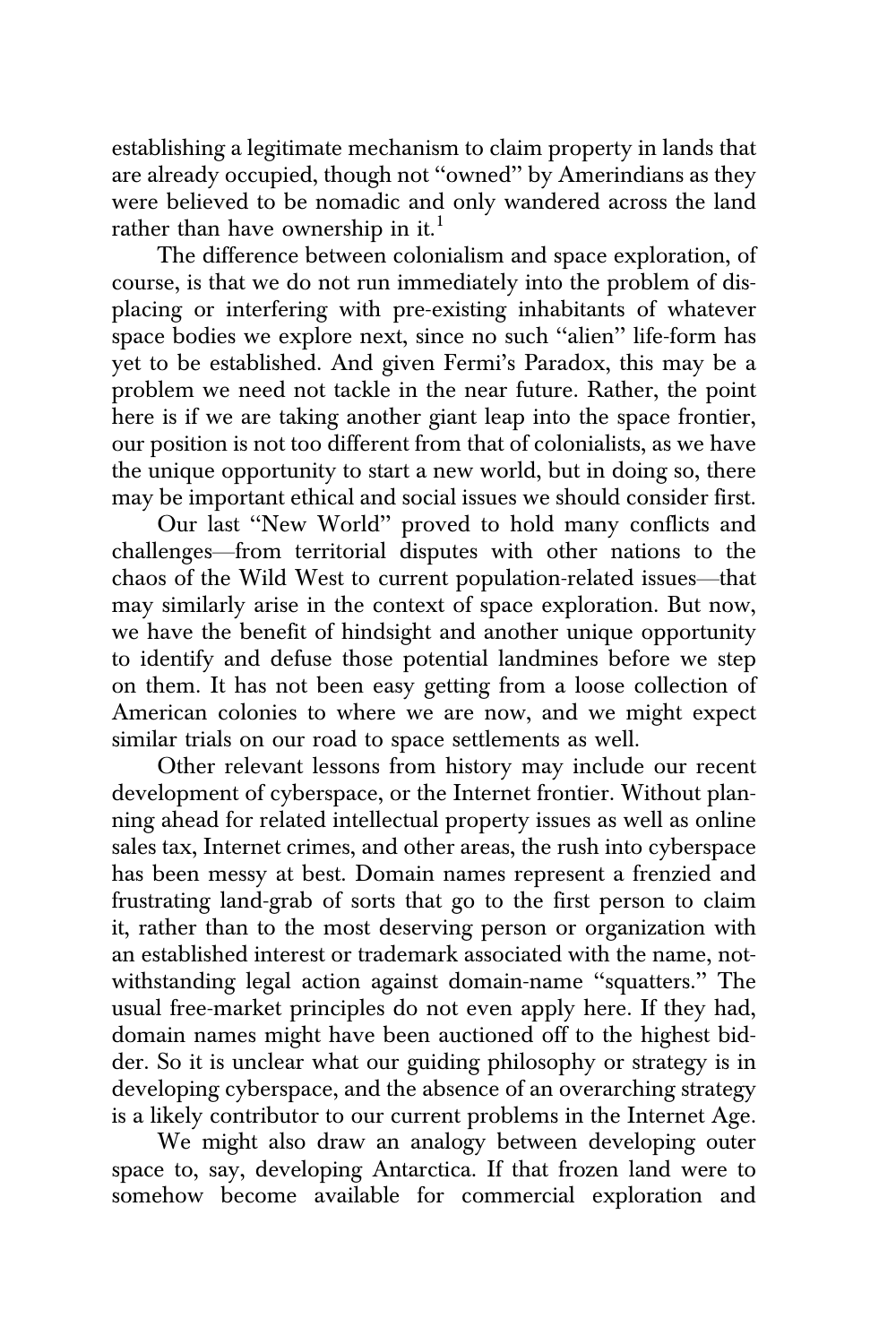establishing a legitimate mechanism to claim property in lands that are already occupied, though not ''owned'' by Amerindians as they were believed to be nomadic and only wandered across the land rather than have ownership in it.<sup>1</sup>

The difference between colonialism and space exploration, of course, is that we do not run immediately into the problem of displacing or interfering with pre-existing inhabitants of whatever space bodies we explore next, since no such ''alien'' life-form has yet to be established. And given Fermi's Paradox, this may be a problem we need not tackle in the near future. Rather, the point here is if we are taking another giant leap into the space frontier, our position is not too different from that of colonialists, as we have the unique opportunity to start a new world, but in doing so, there may be important ethical and social issues we should consider first.

Our last ''New World'' proved to hold many conflicts and challenges—from territorial disputes with other nations to the chaos of the Wild West to current population-related issues—that may similarly arise in the context of space exploration. But now, we have the benefit of hindsight and another unique opportunity to identify and defuse those potential landmines before we step on them. It has not been easy getting from a loose collection of American colonies to where we are now, and we might expect similar trials on our road to space settlements as well.

Other relevant lessons from history may include our recent development of cyberspace, or the Internet frontier. Without planning ahead for related intellectual property issues as well as online sales tax, Internet crimes, and other areas, the rush into cyberspace has been messy at best. Domain names represent a frenzied and frustrating land-grab of sorts that go to the first person to claim it, rather than to the most deserving person or organization with an established interest or trademark associated with the name, notwithstanding legal action against domain-name ''squatters.'' The usual free-market principles do not even apply here. If they had, domain names might have been auctioned off to the highest bidder. So it is unclear what our guiding philosophy or strategy is in developing cyberspace, and the absence of an overarching strategy is a likely contributor to our current problems in the Internet Age.

We might also draw an analogy between developing outer space to, say, developing Antarctica. If that frozen land were to somehow become available for commercial exploration and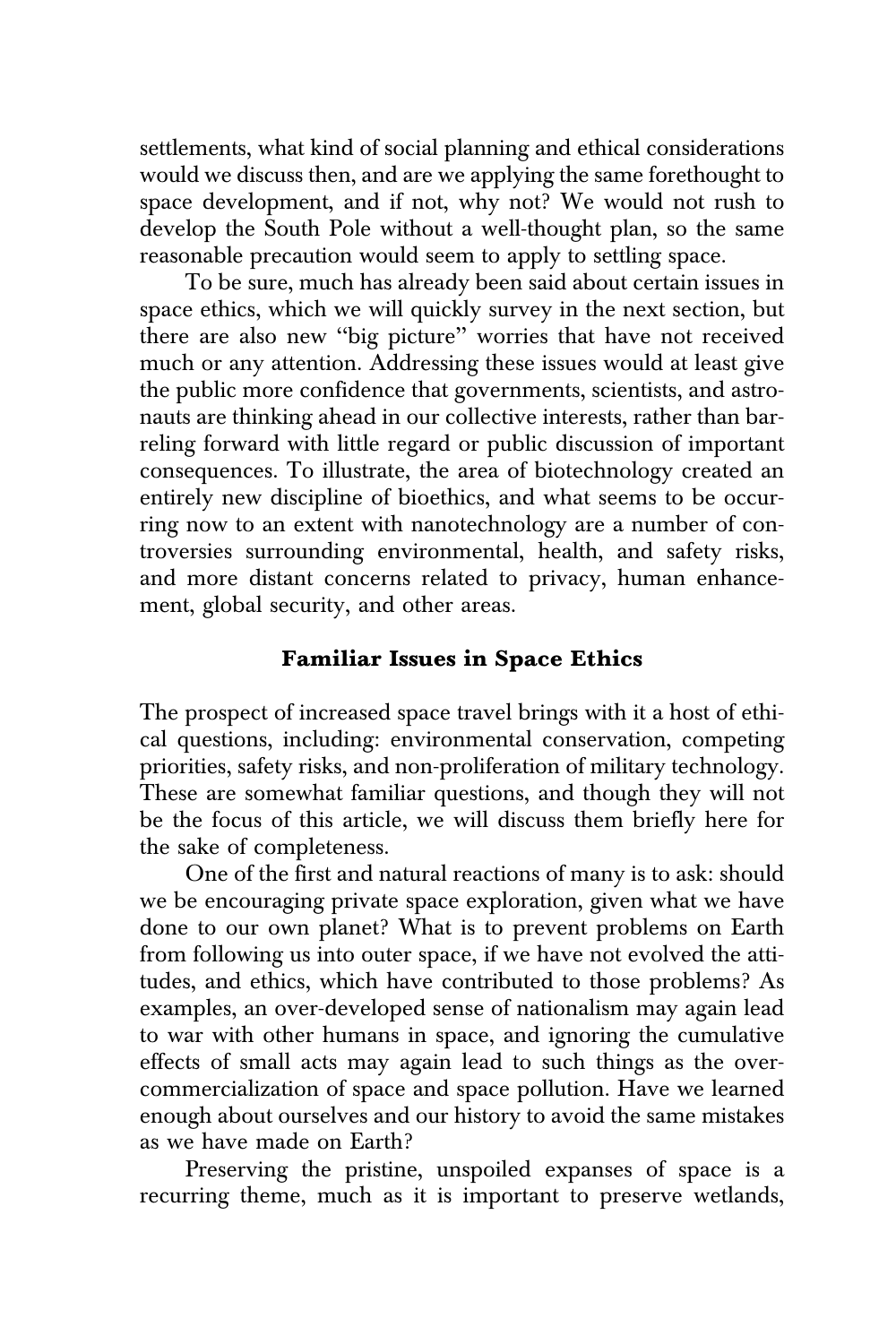settlements, what kind of social planning and ethical considerations would we discuss then, and are we applying the same forethought to space development, and if not, why not? We would not rush to develop the South Pole without a well-thought plan, so the same reasonable precaution would seem to apply to settling space.

To be sure, much has already been said about certain issues in space ethics, which we will quickly survey in the next section, but there are also new ''big picture'' worries that have not received much or any attention. Addressing these issues would at least give the public more confidence that governments, scientists, and astronauts are thinking ahead in our collective interests, rather than barreling forward with little regard or public discussion of important consequences. To illustrate, the area of biotechnology created an entirely new discipline of bioethics, and what seems to be occurring now to an extent with nanotechnology are a number of controversies surrounding environmental, health, and safety risks, and more distant concerns related to privacy, human enhancement, global security, and other areas.

### Familiar Issues in Space Ethics

The prospect of increased space travel brings with it a host of ethical questions, including: environmental conservation, competing priorities, safety risks, and non-proliferation of military technology. These are somewhat familiar questions, and though they will not be the focus of this article, we will discuss them briefly here for the sake of completeness.

One of the first and natural reactions of many is to ask: should we be encouraging private space exploration, given what we have done to our own planet? What is to prevent problems on Earth from following us into outer space, if we have not evolved the attitudes, and ethics, which have contributed to those problems? As examples, an over-developed sense of nationalism may again lead to war with other humans in space, and ignoring the cumulative effects of small acts may again lead to such things as the overcommercialization of space and space pollution. Have we learned enough about ourselves and our history to avoid the same mistakes as we have made on Earth?

Preserving the pristine, unspoiled expanses of space is a recurring theme, much as it is important to preserve wetlands,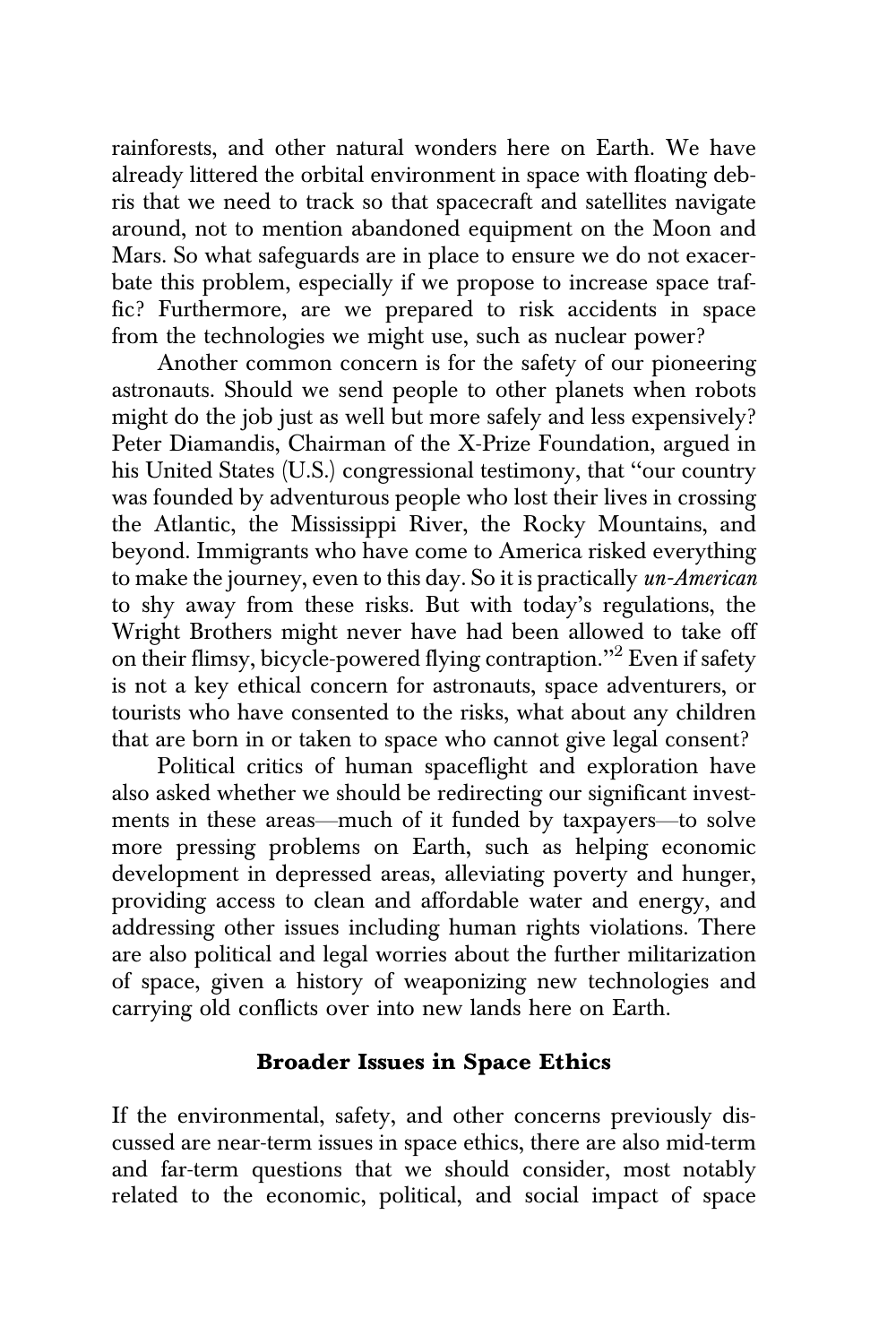rainforests, and other natural wonders here on Earth. We have already littered the orbital environment in space with floating debris that we need to track so that spacecraft and satellites navigate around, not to mention abandoned equipment on the Moon and Mars. So what safeguards are in place to ensure we do not exacerbate this problem, especially if we propose to increase space traffic? Furthermore, are we prepared to risk accidents in space from the technologies we might use, such as nuclear power?

Another common concern is for the safety of our pioneering astronauts. Should we send people to other planets when robots might do the job just as well but more safely and less expensively? Peter Diamandis, Chairman of the X-Prize Foundation, argued in his United States (U.S.) congressional testimony, that ''our country was founded by adventurous people who lost their lives in crossing the Atlantic, the Mississippi River, the Rocky Mountains, and beyond. Immigrants who have come to America risked everything to make the journey, even to this day. So it is practically un-American to shy away from these risks. But with today's regulations, the Wright Brothers might never have had been allowed to take off on their flimsy, bicycle-powered flying contraption."<sup>2</sup> Even if safety is not a key ethical concern for astronauts, space adventurers, or tourists who have consented to the risks, what about any children that are born in or taken to space who cannot give legal consent?

Political critics of human spaceflight and exploration have also asked whether we should be redirecting our significant investments in these areas—much of it funded by taxpayers—to solve more pressing problems on Earth, such as helping economic development in depressed areas, alleviating poverty and hunger, providing access to clean and affordable water and energy, and addressing other issues including human rights violations. There are also political and legal worries about the further militarization of space, given a history of weaponizing new technologies and carrying old conflicts over into new lands here on Earth.

### Broader Issues in Space Ethics

If the environmental, safety, and other concerns previously discussed are near-term issues in space ethics, there are also mid-term and far-term questions that we should consider, most notably related to the economic, political, and social impact of space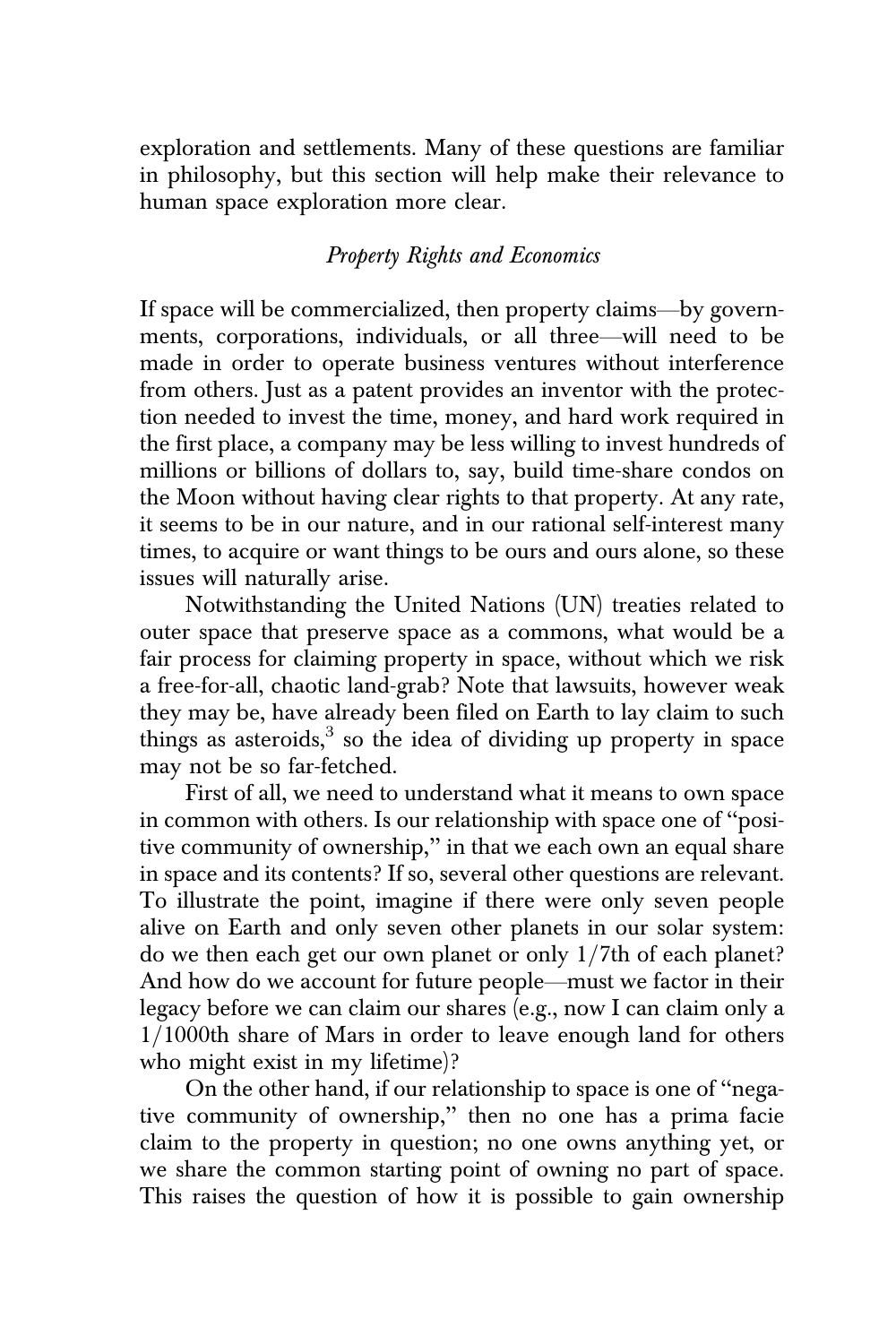exploration and settlements. Many of these questions are familiar in philosophy, but this section will help make their relevance to human space exploration more clear.

### Property Rights and Economics

If space will be commercialized, then property claims—by governments, corporations, individuals, or all three—will need to be made in order to operate business ventures without interference from others. Just as a patent provides an inventor with the protection needed to invest the time, money, and hard work required in the first place, a company may be less willing to invest hundreds of millions or billions of dollars to, say, build time-share condos on the Moon without having clear rights to that property. At any rate, it seems to be in our nature, and in our rational self-interest many times, to acquire or want things to be ours and ours alone, so these issues will naturally arise.

Notwithstanding the United Nations (UN) treaties related to outer space that preserve space as a commons, what would be a fair process for claiming property in space, without which we risk a free-for-all, chaotic land-grab? Note that lawsuits, however weak they may be, have already been filed on Earth to lay claim to such things as asteroids, $3$  so the idea of dividing up property in space may not be so far-fetched.

First of all, we need to understand what it means to own space in common with others. Is our relationship with space one of ''positive community of ownership,'' in that we each own an equal share in space and its contents? If so, several other questions are relevant. To illustrate the point, imagine if there were only seven people alive on Earth and only seven other planets in our solar system: do we then each get our own planet or only  $1/7$ th of each planet? And how do we account for future people—must we factor in their legacy before we can claim our shares (e.g., now I can claim only a  $1/1000$ th share of Mars in order to leave enough land for others who might exist in my lifetime)?

On the other hand, if our relationship to space is one of ''negative community of ownership,'' then no one has a prima facie claim to the property in question; no one owns anything yet, or we share the common starting point of owning no part of space. This raises the question of how it is possible to gain ownership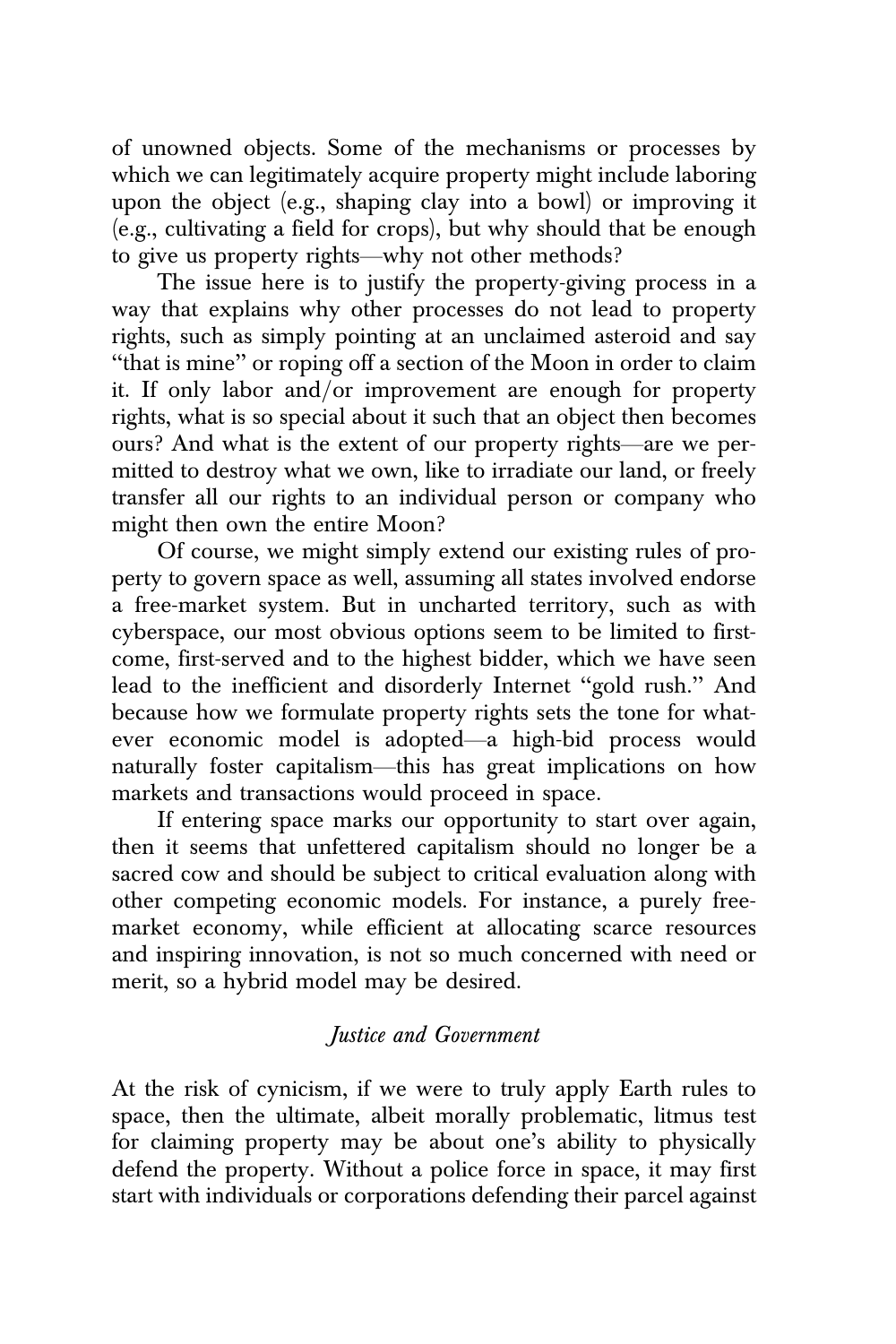of unowned objects. Some of the mechanisms or processes by which we can legitimately acquire property might include laboring upon the object (e.g., shaping clay into a bowl) or improving it (e.g., cultivating a field for crops), but why should that be enough to give us property rights—why not other methods?

The issue here is to justify the property-giving process in a way that explains why other processes do not lead to property rights, such as simply pointing at an unclaimed asteroid and say "that is mine" or roping off a section of the Moon in order to claim it. If only labor and/or improvement are enough for property rights, what is so special about it such that an object then becomes ours? And what is the extent of our property rights—are we permitted to destroy what we own, like to irradiate our land, or freely transfer all our rights to an individual person or company who might then own the entire Moon?

Of course, we might simply extend our existing rules of property to govern space as well, assuming all states involved endorse a free-market system. But in uncharted territory, such as with cyberspace, our most obvious options seem to be limited to firstcome, first-served and to the highest bidder, which we have seen lead to the inefficient and disorderly Internet ''gold rush.'' And because how we formulate property rights sets the tone for whatever economic model is adopted—a high-bid process would naturally foster capitalism—this has great implications on how markets and transactions would proceed in space.

If entering space marks our opportunity to start over again, then it seems that unfettered capitalism should no longer be a sacred cow and should be subject to critical evaluation along with other competing economic models. For instance, a purely freemarket economy, while efficient at allocating scarce resources and inspiring innovation, is not so much concerned with need or merit, so a hybrid model may be desired.

### Justice and Government

At the risk of cynicism, if we were to truly apply Earth rules to space, then the ultimate, albeit morally problematic, litmus test for claiming property may be about one's ability to physically defend the property. Without a police force in space, it may first start with individuals or corporations defending their parcel against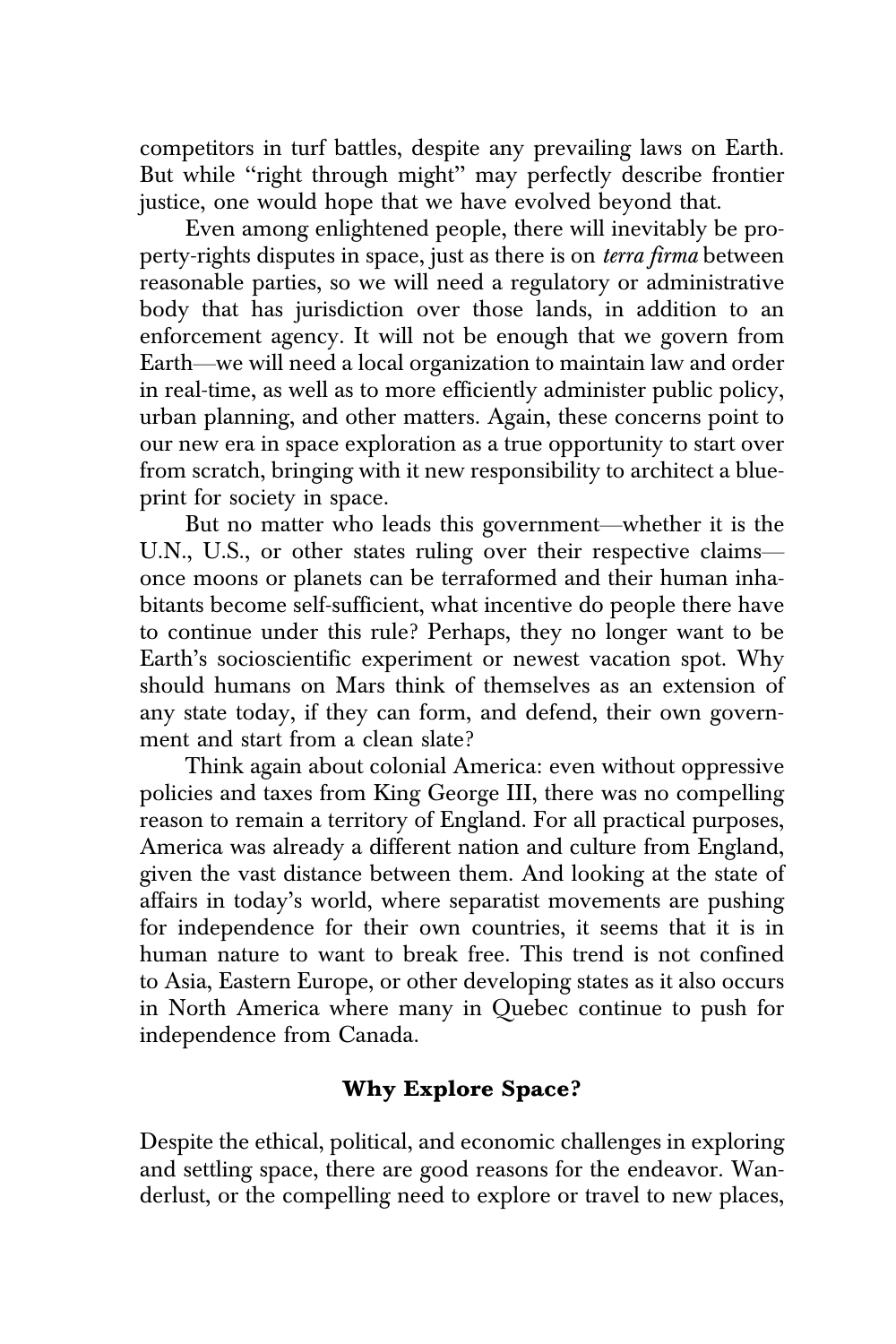competitors in turf battles, despite any prevailing laws on Earth. But while "right through might" may perfectly describe frontier justice, one would hope that we have evolved beyond that.

Even among enlightened people, there will inevitably be property-rights disputes in space, just as there is on terra firma between reasonable parties, so we will need a regulatory or administrative body that has jurisdiction over those lands, in addition to an enforcement agency. It will not be enough that we govern from Earth—we will need a local organization to maintain law and order in real-time, as well as to more efficiently administer public policy, urban planning, and other matters. Again, these concerns point to our new era in space exploration as a true opportunity to start over from scratch, bringing with it new responsibility to architect a blueprint for society in space.

But no matter who leads this government—whether it is the U.N., U.S., or other states ruling over their respective claims once moons or planets can be terraformed and their human inhabitants become self-sufficient, what incentive do people there have to continue under this rule? Perhaps, they no longer want to be Earth's socioscientific experiment or newest vacation spot. Why should humans on Mars think of themselves as an extension of any state today, if they can form, and defend, their own government and start from a clean slate?

Think again about colonial America: even without oppressive policies and taxes from King George III, there was no compelling reason to remain a territory of England. For all practical purposes, America was already a different nation and culture from England, given the vast distance between them. And looking at the state of affairs in today's world, where separatist movements are pushing for independence for their own countries, it seems that it is in human nature to want to break free. This trend is not confined to Asia, Eastern Europe, or other developing states as it also occurs in North America where many in Quebec continue to push for independence from Canada.

## Why Explore Space?

Despite the ethical, political, and economic challenges in exploring and settling space, there are good reasons for the endeavor. Wanderlust, or the compelling need to explore or travel to new places,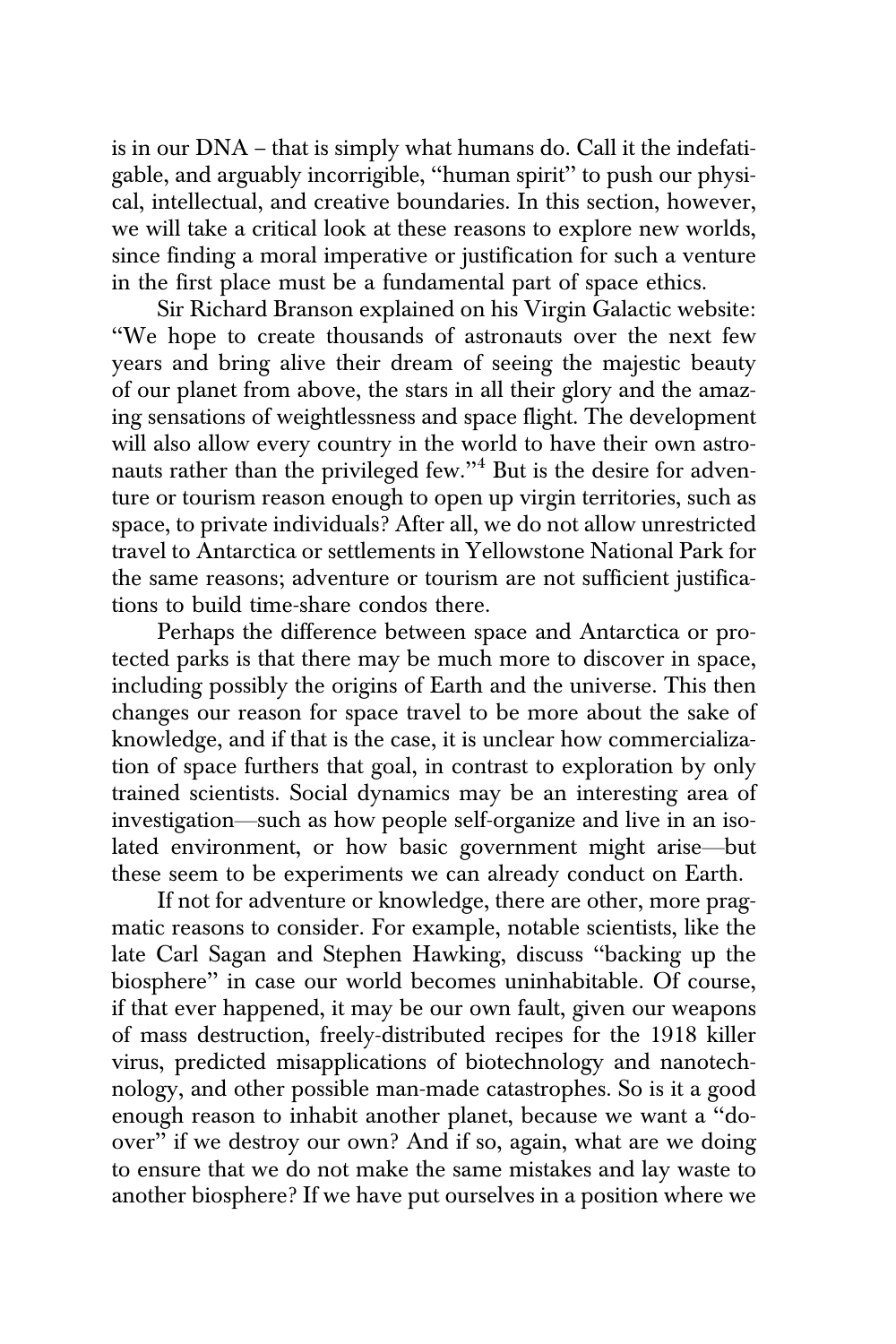is in our DNA – that is simply what humans do. Call it the indefatigable, and arguably incorrigible, ''human spirit'' to push our physical, intellectual, and creative boundaries. In this section, however, we will take a critical look at these reasons to explore new worlds, since finding a moral imperative or justification for such a venture in the first place must be a fundamental part of space ethics.

Sir Richard Branson explained on his Virgin Galactic website: ''We hope to create thousands of astronauts over the next few years and bring alive their dream of seeing the majestic beauty of our planet from above, the stars in all their glory and the amazing sensations of weightlessness and space flight. The development will also allow every country in the world to have their own astronauts rather than the privileged few."<sup>4</sup> But is the desire for adventure or tourism reason enough to open up virgin territories, such as space, to private individuals? After all, we do not allow unrestricted travel to Antarctica or settlements in Yellowstone National Park for the same reasons; adventure or tourism are not sufficient justifications to build time-share condos there.

Perhaps the difference between space and Antarctica or protected parks is that there may be much more to discover in space, including possibly the origins of Earth and the universe. This then changes our reason for space travel to be more about the sake of knowledge, and if that is the case, it is unclear how commercialization of space furthers that goal, in contrast to exploration by only trained scientists. Social dynamics may be an interesting area of investigation—such as how people self-organize and live in an isolated environment, or how basic government might arise—but these seem to be experiments we can already conduct on Earth.

If not for adventure or knowledge, there are other, more pragmatic reasons to consider. For example, notable scientists, like the late Carl Sagan and Stephen Hawking, discuss ''backing up the biosphere'' in case our world becomes uninhabitable. Of course, if that ever happened, it may be our own fault, given our weapons of mass destruction, freely-distributed recipes for the 1918 killer virus, predicted misapplications of biotechnology and nanotechnology, and other possible man-made catastrophes. So is it a good enough reason to inhabit another planet, because we want a ''doover'' if we destroy our own? And if so, again, what are we doing to ensure that we do not make the same mistakes and lay waste to another biosphere? If we have put ourselves in a position where we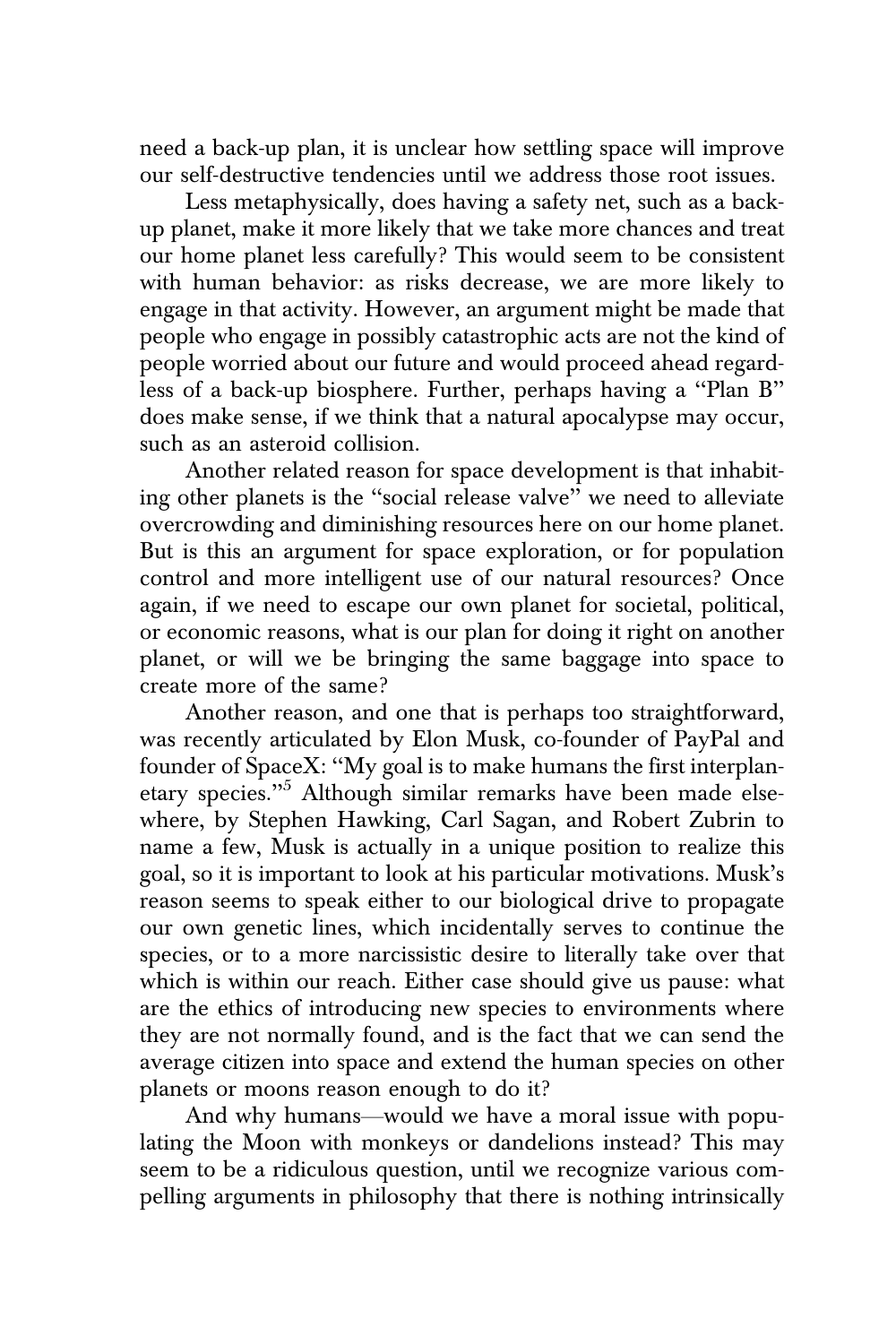need a back-up plan, it is unclear how settling space will improve our self-destructive tendencies until we address those root issues.

Less metaphysically, does having a safety net, such as a backup planet, make it more likely that we take more chances and treat our home planet less carefully? This would seem to be consistent with human behavior: as risks decrease, we are more likely to engage in that activity. However, an argument might be made that people who engage in possibly catastrophic acts are not the kind of people worried about our future and would proceed ahead regardless of a back-up biosphere. Further, perhaps having a ''Plan B'' does make sense, if we think that a natural apocalypse may occur, such as an asteroid collision.

Another related reason for space development is that inhabiting other planets is the ''social release valve'' we need to alleviate overcrowding and diminishing resources here on our home planet. But is this an argument for space exploration, or for population control and more intelligent use of our natural resources? Once again, if we need to escape our own planet for societal, political, or economic reasons, what is our plan for doing it right on another planet, or will we be bringing the same baggage into space to create more of the same?

Another reason, and one that is perhaps too straightforward, was recently articulated by Elon Musk, co-founder of PayPal and founder of SpaceX: ''My goal is to make humans the first interplanetary species."<sup>5</sup> Although similar remarks have been made elsewhere, by Stephen Hawking, Carl Sagan, and Robert Zubrin to name a few, Musk is actually in a unique position to realize this goal, so it is important to look at his particular motivations. Musk's reason seems to speak either to our biological drive to propagate our own genetic lines, which incidentally serves to continue the species, or to a more narcissistic desire to literally take over that which is within our reach. Either case should give us pause: what are the ethics of introducing new species to environments where they are not normally found, and is the fact that we can send the average citizen into space and extend the human species on other planets or moons reason enough to do it?

And why humans—would we have a moral issue with populating the Moon with monkeys or dandelions instead? This may seem to be a ridiculous question, until we recognize various compelling arguments in philosophy that there is nothing intrinsically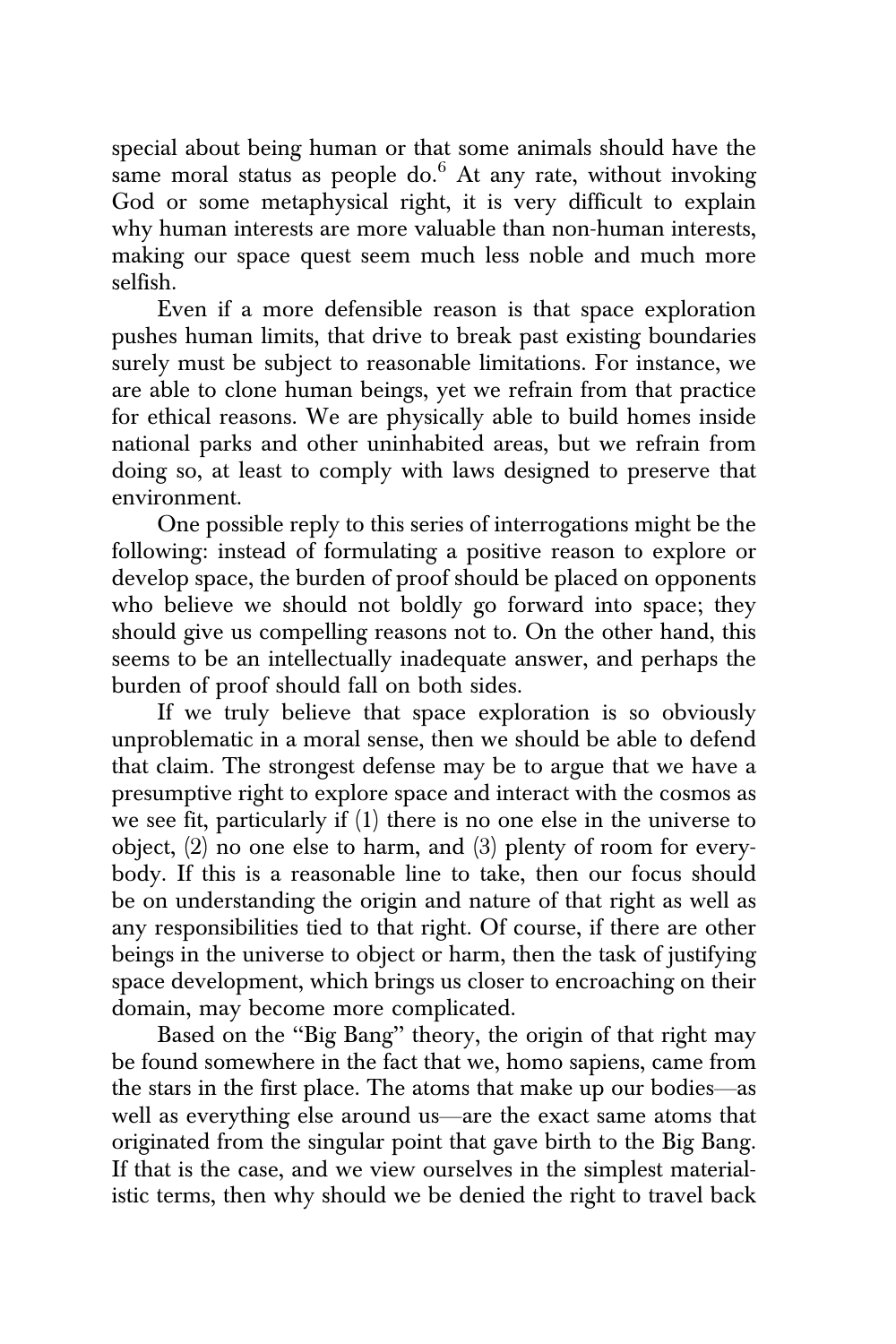special about being human or that some animals should have the same moral status as people do. $6$  At any rate, without invoking God or some metaphysical right, it is very difficult to explain why human interests are more valuable than non-human interests, making our space quest seem much less noble and much more selfish.

Even if a more defensible reason is that space exploration pushes human limits, that drive to break past existing boundaries surely must be subject to reasonable limitations. For instance, we are able to clone human beings, yet we refrain from that practice for ethical reasons. We are physically able to build homes inside national parks and other uninhabited areas, but we refrain from doing so, at least to comply with laws designed to preserve that environment.

One possible reply to this series of interrogations might be the following: instead of formulating a positive reason to explore or develop space, the burden of proof should be placed on opponents who believe we should not boldly go forward into space; they should give us compelling reasons not to. On the other hand, this seems to be an intellectually inadequate answer, and perhaps the burden of proof should fall on both sides.

If we truly believe that space exploration is so obviously unproblematic in a moral sense, then we should be able to defend that claim. The strongest defense may be to argue that we have a presumptive right to explore space and interact with the cosmos as we see fit, particularly if (1) there is no one else in the universe to object, (2) no one else to harm, and (3) plenty of room for everybody. If this is a reasonable line to take, then our focus should be on understanding the origin and nature of that right as well as any responsibilities tied to that right. Of course, if there are other beings in the universe to object or harm, then the task of justifying space development, which brings us closer to encroaching on their domain, may become more complicated.

Based on the ''Big Bang'' theory, the origin of that right may be found somewhere in the fact that we, homo sapiens, came from the stars in the first place. The atoms that make up our bodies—as well as everything else around us—are the exact same atoms that originated from the singular point that gave birth to the Big Bang. If that is the case, and we view ourselves in the simplest materialistic terms, then why should we be denied the right to travel back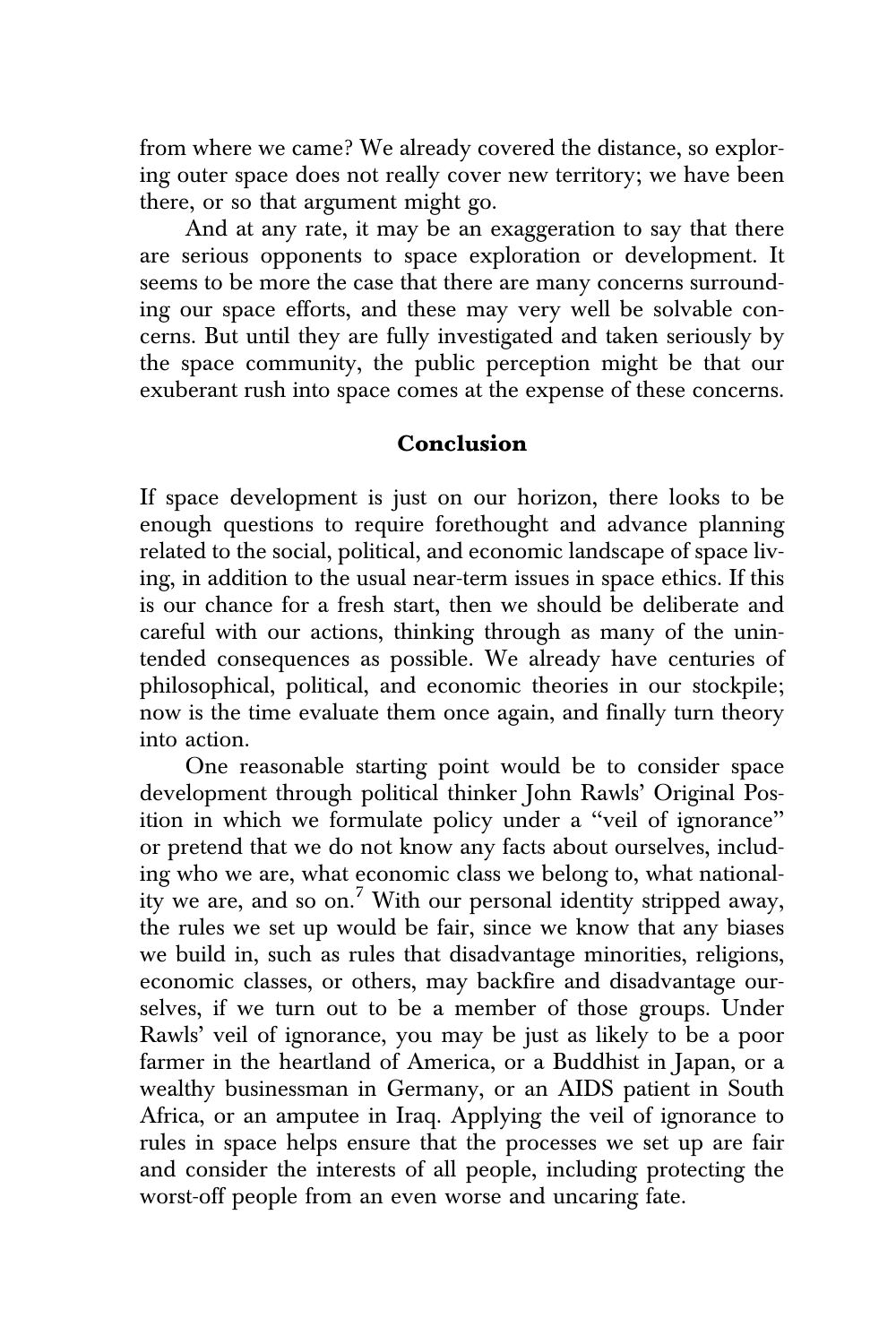from where we came? We already covered the distance, so exploring outer space does not really cover new territory; we have been there, or so that argument might go.

And at any rate, it may be an exaggeration to say that there are serious opponents to space exploration or development. It seems to be more the case that there are many concerns surrounding our space efforts, and these may very well be solvable concerns. But until they are fully investigated and taken seriously by the space community, the public perception might be that our exuberant rush into space comes at the expense of these concerns.

#### Conclusion

If space development is just on our horizon, there looks to be enough questions to require forethought and advance planning related to the social, political, and economic landscape of space living, in addition to the usual near-term issues in space ethics. If this is our chance for a fresh start, then we should be deliberate and careful with our actions, thinking through as many of the unintended consequences as possible. We already have centuries of philosophical, political, and economic theories in our stockpile; now is the time evaluate them once again, and finally turn theory into action.

One reasonable starting point would be to consider space development through political thinker John Rawls' Original Position in which we formulate policy under a ''veil of ignorance'' or pretend that we do not know any facts about ourselves, including who we are, what economic class we belong to, what nationality we are, and so on.<sup>7</sup> With our personal identity stripped away, the rules we set up would be fair, since we know that any biases we build in, such as rules that disadvantage minorities, religions, economic classes, or others, may backfire and disadvantage ourselves, if we turn out to be a member of those groups. Under Rawls' veil of ignorance, you may be just as likely to be a poor farmer in the heartland of America, or a Buddhist in Japan, or a wealthy businessman in Germany, or an AIDS patient in South Africa, or an amputee in Iraq. Applying the veil of ignorance to rules in space helps ensure that the processes we set up are fair and consider the interests of all people, including protecting the worst-off people from an even worse and uncaring fate.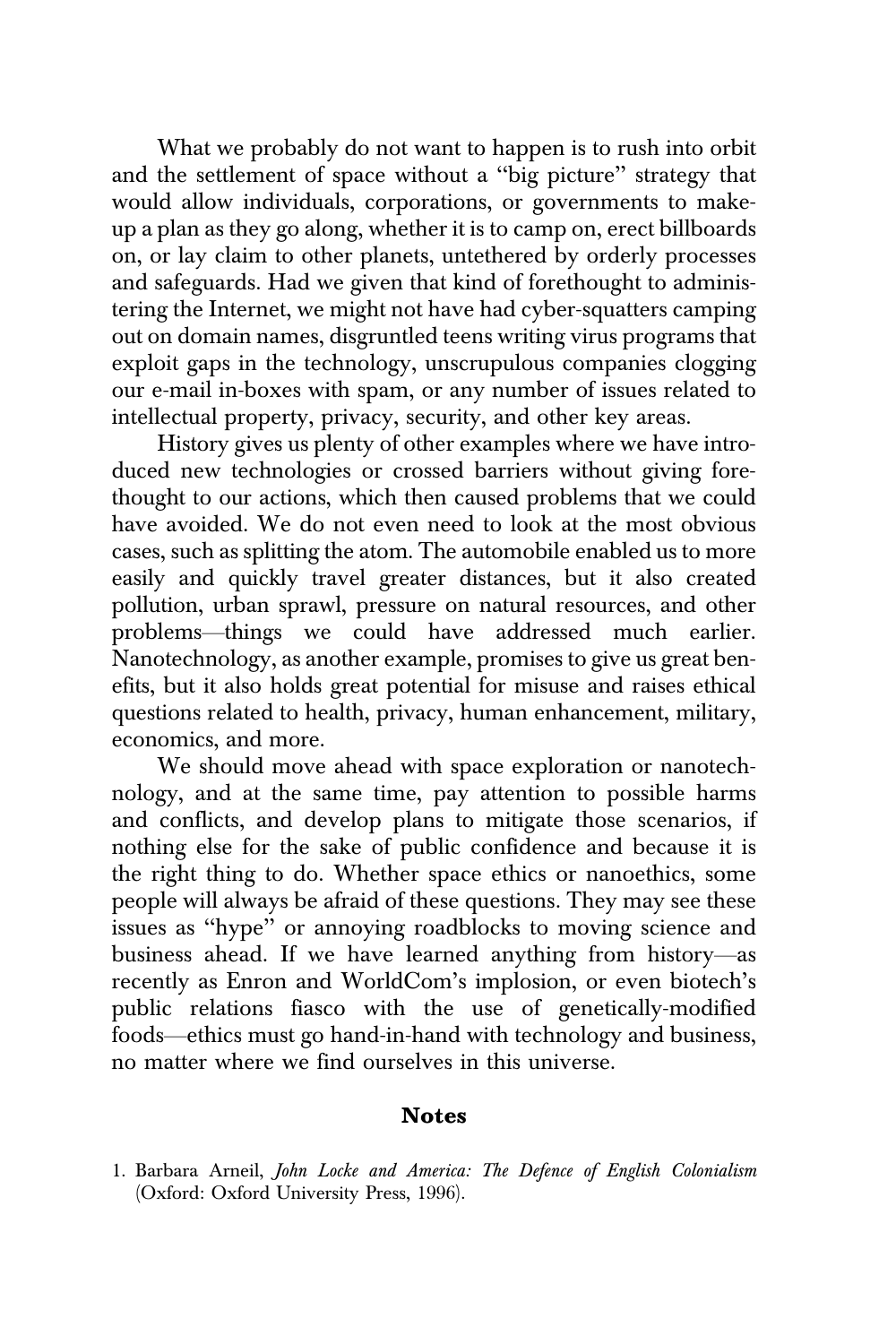What we probably do not want to happen is to rush into orbit and the settlement of space without a ''big picture'' strategy that would allow individuals, corporations, or governments to makeup a plan as they go along, whether it is to camp on, erect billboards on, or lay claim to other planets, untethered by orderly processes and safeguards. Had we given that kind of forethought to administering the Internet, we might not have had cyber-squatters camping out on domain names, disgruntled teens writing virus programs that exploit gaps in the technology, unscrupulous companies clogging our e-mail in-boxes with spam, or any number of issues related to intellectual property, privacy, security, and other key areas.

History gives us plenty of other examples where we have introduced new technologies or crossed barriers without giving forethought to our actions, which then caused problems that we could have avoided. We do not even need to look at the most obvious cases, such as splitting the atom. The automobile enabled us to more easily and quickly travel greater distances, but it also created pollution, urban sprawl, pressure on natural resources, and other problems—things we could have addressed much earlier. Nanotechnology, as another example, promises to give us great benefits, but it also holds great potential for misuse and raises ethical questions related to health, privacy, human enhancement, military, economics, and more.

We should move ahead with space exploration or nanotechnology, and at the same time, pay attention to possible harms and conflicts, and develop plans to mitigate those scenarios, if nothing else for the sake of public confidence and because it is the right thing to do. Whether space ethics or nanoethics, some people will always be afraid of these questions. They may see these issues as ''hype'' or annoying roadblocks to moving science and business ahead. If we have learned anything from history—as recently as Enron and WorldCom's implosion, or even biotech's public relations fiasco with the use of genetically-modified foods—ethics must go hand-in-hand with technology and business, no matter where we find ourselves in this universe.

#### Notes

<sup>1.</sup> Barbara Arneil, John Locke and America: The Defence of English Colonialism (Oxford: Oxford University Press, 1996).